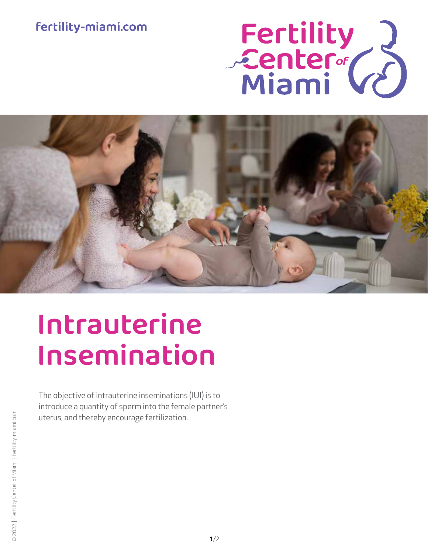## fertility-miami.com





# Intrauterine Insemination

The objective of intrauterine inseminations (IUI) is to introduce a quantity of sperm into the female partner's uterus, and thereby encourage fertilization.